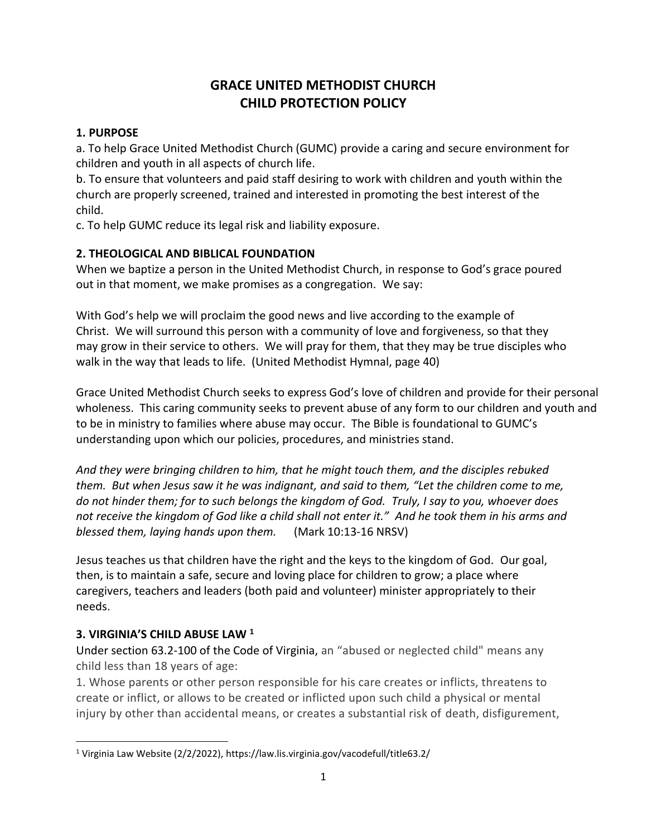# **GRACE UNITED METHODIST CHURCH CHILD PROTECTION POLICY**

# **1. PURPOSE**

a. To help Grace United Methodist Church (GUMC) provide a caring and secure environment for children and youth in all aspects of church life.

b. To ensure that volunteers and paid staff desiring to work with children and youth within the church are properly screened, trained and interested in promoting the best interest of the child.

c. To help GUMC reduce its legal risk and liability exposure.

# **2. THEOLOGICAL AND BIBLICAL FOUNDATION**

When we baptize a person in the United Methodist Church, in response to God's grace poured out in that moment, we make promises as a congregation. We say:

With God's help we will proclaim the good news and live according to the example of Christ. We will surround this person with a community of love and forgiveness, so that they may grow in their service to others. We will pray for them, that they may be true disciples who walk in the way that leads to life. (United Methodist Hymnal, page 40)

Grace United Methodist Church seeks to express God's love of children and provide for their personal wholeness. This caring community seeks to prevent abuse of any form to our children and youth and to be in ministry to families where abuse may occur. The Bible is foundational to GUMC's understanding upon which our policies, procedures, and ministries stand.

*And they were bringing children to him, that he might touch them, and the disciples rebuked them. But when Jesus saw it he was indignant, and said to them, "Let the children come to me, do not hinder them; for to such belongs the kingdom of God. Truly, I say to you, whoever does not receive the kingdom of God like a child shall not enter it." And he took them in his arms and blessed them, laying hands upon them.* (Mark 10:13-16 NRSV)

Jesus teaches us that children have the right and the keys to the kingdom of God. Our goal, then, is to maintain a safe, secure and loving place for children to grow; a place where caregivers, teachers and leaders (both paid and volunteer) minister appropriately to their needs.

# **3. VIRGINIA'S CHILD ABUSE LAW <sup>1</sup>**

 $\overline{\phantom{a}}$ 

Under section 63.2-100 of the Code of Virginia, an "abused or neglected child" means any child less than 18 years of age:

1. Whose parents or other person responsible for his care creates or inflicts, threatens to create or inflict, or allows to be created or inflicted upon such child a physical or mental injury by other than accidental means, or creates a substantial risk of death, disfigurement,

<sup>1</sup> Virginia Law Website (2/2/2022), https://law.lis.virginia.gov/vacodefull/title63.2/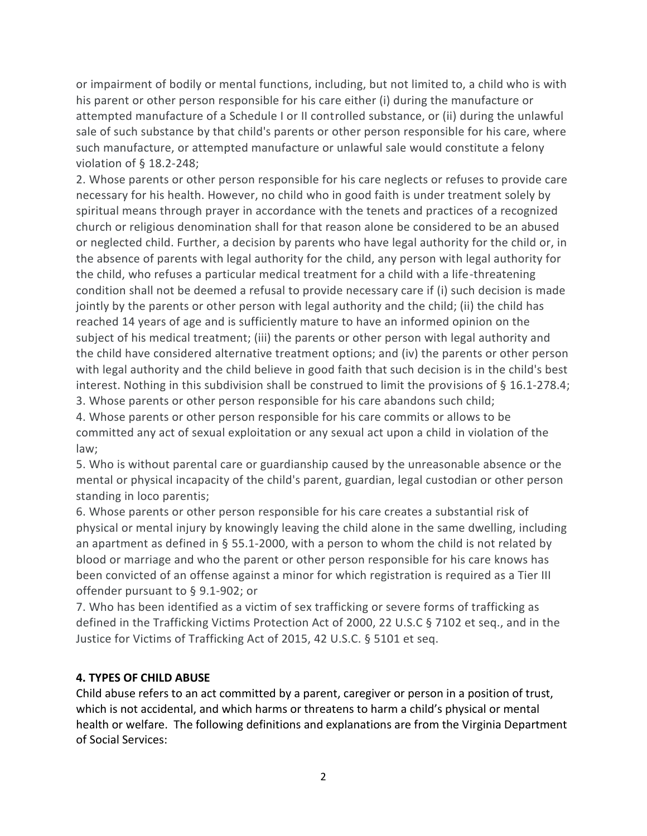or impairment of bodily or mental functions, including, but not limited to, a child who is with his parent or other person responsible for his care either (i) during the manufacture or attempted manufacture of a Schedule I or II controlled substance, or (ii) during the unlawful sale of such substance by that child's parents or other person responsible for his care, where such manufacture, or attempted manufacture or unlawful sale would constitute a felony violation of § 18.2-248;

2. Whose parents or other person responsible for his care neglects or refuses to provide care necessary for his health. However, no child who in good faith is under treatment solely by spiritual means through prayer in accordance with the tenets and practices of a recognized church or religious denomination shall for that reason alone be considered to be an abused or neglected child. Further, a decision by parents who have legal authority for the child or, in the absence of parents with legal authority for the child, any person with legal authority for the child, who refuses a particular medical treatment for a child with a life-threatening condition shall not be deemed a refusal to provide necessary care if (i) such decision is made jointly by the parents or other person with legal authority and the child; (ii) the child has reached 14 years of age and is sufficiently mature to have an informed opinion on the subject of his medical treatment; (iii) the parents or other person with legal authority and the child have considered alternative treatment options; and (iv) the parents or other person with legal authority and the child believe in good faith that such decision is in the child's best interest. Nothing in this subdivision shall be construed to limit the provisions of § 16.1-278.4;

3. Whose parents or other person responsible for his care abandons such child;

4. Whose parents or other person responsible for his care commits or allows to be committed any act of sexual exploitation or any sexual act upon a child in violation of the law;

5. Who is without parental care or guardianship caused by the unreasonable absence or the mental or physical incapacity of the child's parent, guardian, legal custodian or other person standing in loco parentis;

6. Whose parents or other person responsible for his care creates a substantial risk of physical or mental injury by knowingly leaving the child alone in the same dwelling, including an apartment as defined in § 55.1-2000, with a person to whom the child is not related by blood or marriage and who the parent or other person responsible for his care knows has been convicted of an offense against a minor for which registration is required as a Tier III offender pursuant to § 9.1-902; or

7. Who has been identified as a victim of sex trafficking or severe forms of trafficking as defined in the Trafficking Victims Protection Act of 2000, 22 U.S.C § 7102 et seq., and in the Justice for Victims of Trafficking Act of 2015, 42 U.S.C. § 5101 et seq.

#### **4. TYPES OF CHILD ABUSE**

Child abuse refers to an act committed by a parent, caregiver or person in a position of trust, which is not accidental, and which harms or threatens to harm a child's physical or mental health or welfare. The following definitions and explanations are from the Virginia Department of Social Services: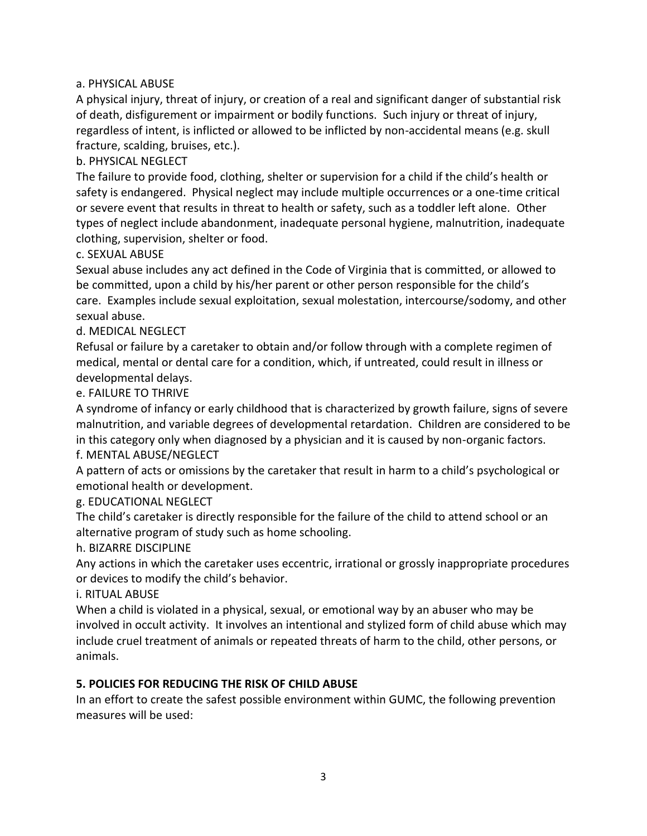# a. PHYSICAL ABUSE

A physical injury, threat of injury, or creation of a real and significant danger of substantial risk of death, disfigurement or impairment or bodily functions. Such injury or threat of injury, regardless of intent, is inflicted or allowed to be inflicted by non-accidental means (e.g. skull fracture, scalding, bruises, etc.).

### b. PHYSICAL NEGLECT

The failure to provide food, clothing, shelter or supervision for a child if the child's health or safety is endangered. Physical neglect may include multiple occurrences or a one-time critical or severe event that results in threat to health or safety, such as a toddler left alone. Other types of neglect include abandonment, inadequate personal hygiene, malnutrition, inadequate clothing, supervision, shelter or food.

c. SEXUAL ABUSE

Sexual abuse includes any act defined in the Code of Virginia that is committed, or allowed to be committed, upon a child by his/her parent or other person responsible for the child's care. Examples include sexual exploitation, sexual molestation, intercourse/sodomy, and other sexual abuse.

### d. MEDICAL NEGLECT

Refusal or failure by a caretaker to obtain and/or follow through with a complete regimen of medical, mental or dental care for a condition, which, if untreated, could result in illness or developmental delays.

### e. FAILURE TO THRIVE

A syndrome of infancy or early childhood that is characterized by growth failure, signs of severe malnutrition, and variable degrees of developmental retardation. Children are considered to be in this category only when diagnosed by a physician and it is caused by non-organic factors. f. MENTAL ABUSE/NEGLECT

A pattern of acts or omissions by the caretaker that result in harm to a child's psychological or emotional health or development.

# g. EDUCATIONAL NEGLECT

The child's caretaker is directly responsible for the failure of the child to attend school or an alternative program of study such as home schooling.

# h. BIZARRE DISCIPLINE

Any actions in which the caretaker uses eccentric, irrational or grossly inappropriate procedures or devices to modify the child's behavior.

#### i. RITUAL ABUSE

When a child is violated in a physical, sexual, or emotional way by an abuser who may be involved in occult activity. It involves an intentional and stylized form of child abuse which may include cruel treatment of animals or repeated threats of harm to the child, other persons, or animals.

#### **5. POLICIES FOR REDUCING THE RISK OF CHILD ABUSE**

In an effort to create the safest possible environment within GUMC, the following prevention measures will be used: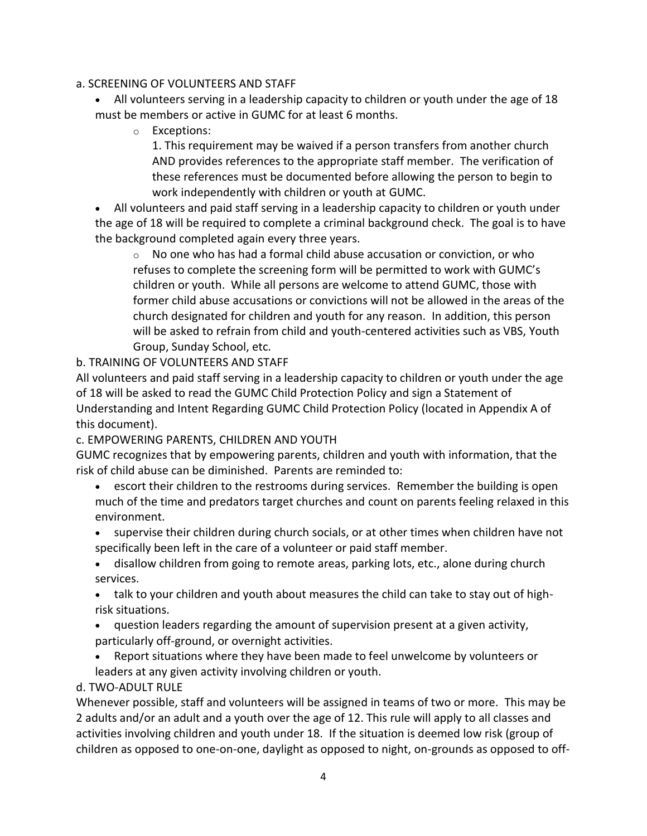### a. SCREENING OF VOLUNTEERS AND STAFF

- All volunteers serving in a leadership capacity to children or youth under the age of 18 must be members or active in GUMC for at least 6 months.
	- o Exceptions:

1. This requirement may be waived if a person transfers from another church AND provides references to the appropriate staff member. The verification of these references must be documented before allowing the person to begin to work independently with children or youth at GUMC.

• All volunteers and paid staff serving in a leadership capacity to children or youth under the age of 18 will be required to complete a criminal background check. The goal is to have the background completed again every three years.

 $\circ$  No one who has had a formal child abuse accusation or conviction, or who refuses to complete the screening form will be permitted to work with GUMC's children or youth. While all persons are welcome to attend GUMC, those with former child abuse accusations or convictions will not be allowed in the areas of the church designated for children and youth for any reason. In addition, this person will be asked to refrain from child and youth-centered activities such as VBS, Youth Group, Sunday School, etc.

# b. TRAINING OF VOLUNTEERS AND STAFF

All volunteers and paid staff serving in a leadership capacity to children or youth under the age of 18 will be asked to read the GUMC Child Protection Policy and sign a Statement of Understanding and Intent Regarding GUMC Child Protection Policy (located in Appendix A of this document).

#### c. EMPOWERING PARENTS, CHILDREN AND YOUTH

GUMC recognizes that by empowering parents, children and youth with information, that the risk of child abuse can be diminished. Parents are reminded to:

- escort their children to the restrooms during services. Remember the building is open much of the time and predators target churches and count on parents feeling relaxed in this environment.
- supervise their children during church socials, or at other times when children have not specifically been left in the care of a volunteer or paid staff member.
- disallow children from going to remote areas, parking lots, etc., alone during church services.
- talk to your children and youth about measures the child can take to stay out of highrisk situations.
- question leaders regarding the amount of supervision present at a given activity, particularly off-ground, or overnight activities.
- Report situations where they have been made to feel unwelcome by volunteers or leaders at any given activity involving children or youth.

# d. TWO-ADULT RULE

Whenever possible, staff and volunteers will be assigned in teams of two or more. This may be 2 adults and/or an adult and a youth over the age of 12. This rule will apply to all classes and activities involving children and youth under 18. If the situation is deemed low risk (group of children as opposed to one-on-one, daylight as opposed to night, on-grounds as opposed to off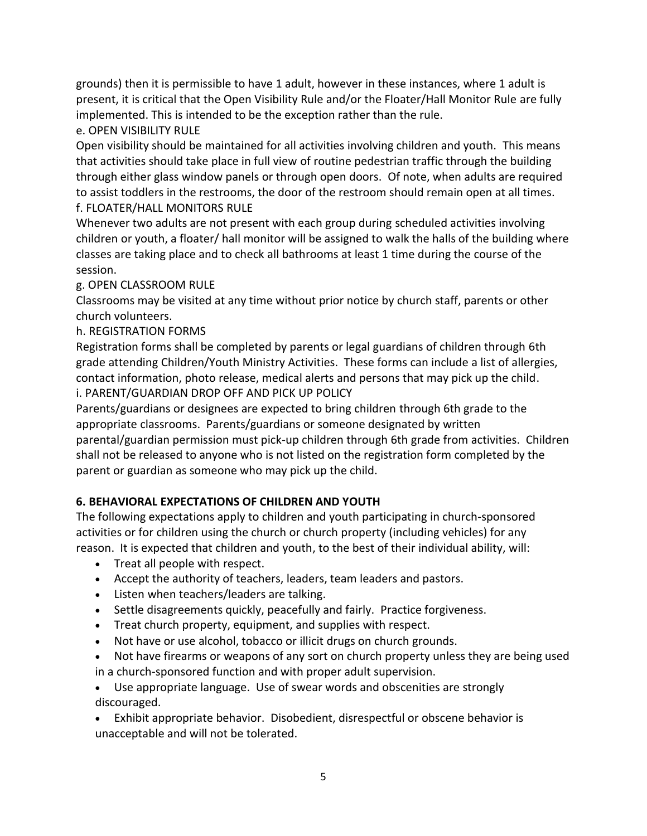grounds) then it is permissible to have 1 adult, however in these instances, where 1 adult is present, it is critical that the Open Visibility Rule and/or the Floater/Hall Monitor Rule are fully implemented. This is intended to be the exception rather than the rule.

# e. OPEN VISIBILITY RULE

Open visibility should be maintained for all activities involving children and youth. This means that activities should take place in full view of routine pedestrian traffic through the building through either glass window panels or through open doors. Of note, when adults are required to assist toddlers in the restrooms, the door of the restroom should remain open at all times. f. FLOATER/HALL MONITORS RULE

Whenever two adults are not present with each group during scheduled activities involving children or youth, a floater/ hall monitor will be assigned to walk the halls of the building where classes are taking place and to check all bathrooms at least 1 time during the course of the session.

# g. OPEN CLASSROOM RULE

Classrooms may be visited at any time without prior notice by church staff, parents or other church volunteers.

# h. REGISTRATION FORMS

Registration forms shall be completed by parents or legal guardians of children through 6th grade attending Children/Youth Ministry Activities. These forms can include a list of allergies, contact information, photo release, medical alerts and persons that may pick up the child. i. PARENT/GUARDIAN DROP OFF AND PICK UP POLICY

Parents/guardians or designees are expected to bring children through 6th grade to the appropriate classrooms. Parents/guardians or someone designated by written parental/guardian permission must pick-up children through 6th grade from activities. Children shall not be released to anyone who is not listed on the registration form completed by the parent or guardian as someone who may pick up the child.

# **6. BEHAVIORAL EXPECTATIONS OF CHILDREN AND YOUTH**

The following expectations apply to children and youth participating in church-sponsored activities or for children using the church or church property (including vehicles) for any reason. It is expected that children and youth, to the best of their individual ability, will:

- Treat all people with respect.
- Accept the authority of teachers, leaders, team leaders and pastors.
- Listen when teachers/leaders are talking.
- Settle disagreements quickly, peacefully and fairly. Practice forgiveness.
- Treat church property, equipment, and supplies with respect.
- Not have or use alcohol, tobacco or illicit drugs on church grounds.
- Not have firearms or weapons of any sort on church property unless they are being used in a church-sponsored function and with proper adult supervision.
- Use appropriate language. Use of swear words and obscenities are strongly discouraged.

• Exhibit appropriate behavior. Disobedient, disrespectful or obscene behavior is unacceptable and will not be tolerated.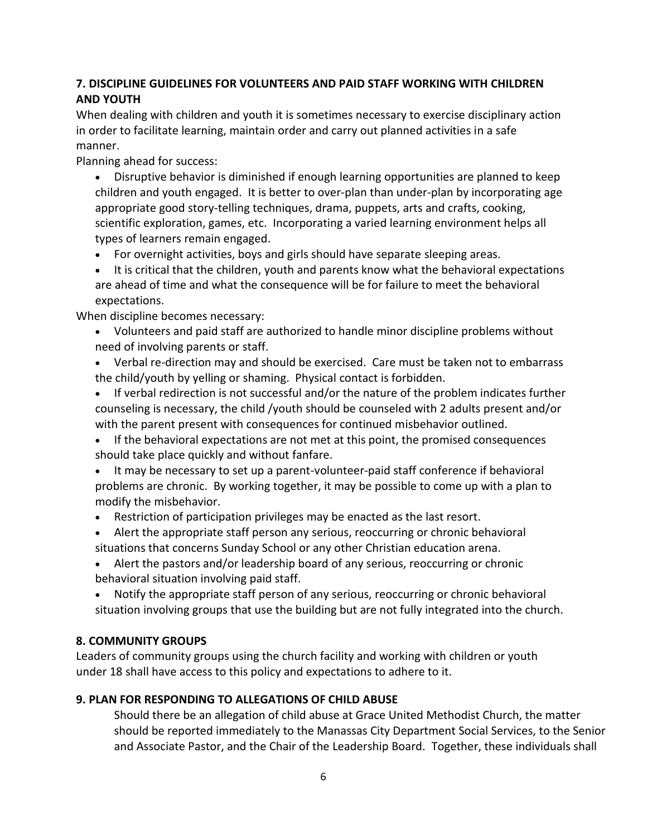# **7. DISCIPLINE GUIDELINES FOR VOLUNTEERS AND PAID STAFF WORKING WITH CHILDREN AND YOUTH**

When dealing with children and youth it is sometimes necessary to exercise disciplinary action in order to facilitate learning, maintain order and carry out planned activities in a safe manner.

Planning ahead for success:

• Disruptive behavior is diminished if enough learning opportunities are planned to keep children and youth engaged. It is better to over-plan than under-plan by incorporating age appropriate good story-telling techniques, drama, puppets, arts and crafts, cooking, scientific exploration, games, etc. Incorporating a varied learning environment helps all types of learners remain engaged.

- For overnight activities, boys and girls should have separate sleeping areas.
- It is critical that the children, youth and parents know what the behavioral expectations are ahead of time and what the consequence will be for failure to meet the behavioral expectations.

When discipline becomes necessary:

- Volunteers and paid staff are authorized to handle minor discipline problems without need of involving parents or staff.
- Verbal re-direction may and should be exercised. Care must be taken not to embarrass the child/youth by yelling or shaming. Physical contact is forbidden.
- If verbal redirection is not successful and/or the nature of the problem indicates further counseling is necessary, the child /youth should be counseled with 2 adults present and/or with the parent present with consequences for continued misbehavior outlined.
- If the behavioral expectations are not met at this point, the promised consequences should take place quickly and without fanfare.
- It may be necessary to set up a parent-volunteer-paid staff conference if behavioral problems are chronic. By working together, it may be possible to come up with a plan to modify the misbehavior.
- Restriction of participation privileges may be enacted as the last resort.
- Alert the appropriate staff person any serious, reoccurring or chronic behavioral situations that concerns Sunday School or any other Christian education arena.
- Alert the pastors and/or leadership board of any serious, reoccurring or chronic behavioral situation involving paid staff.
- Notify the appropriate staff person of any serious, reoccurring or chronic behavioral situation involving groups that use the building but are not fully integrated into the church.

# **8. COMMUNITY GROUPS**

Leaders of community groups using the church facility and working with children or youth under 18 shall have access to this policy and expectations to adhere to it.

# **9. PLAN FOR RESPONDING TO ALLEGATIONS OF CHILD ABUSE**

Should there be an allegation of child abuse at Grace United Methodist Church, the matter should be reported immediately to the Manassas City Department Social Services, to the Senior and Associate Pastor, and the Chair of the Leadership Board. Together, these individuals shall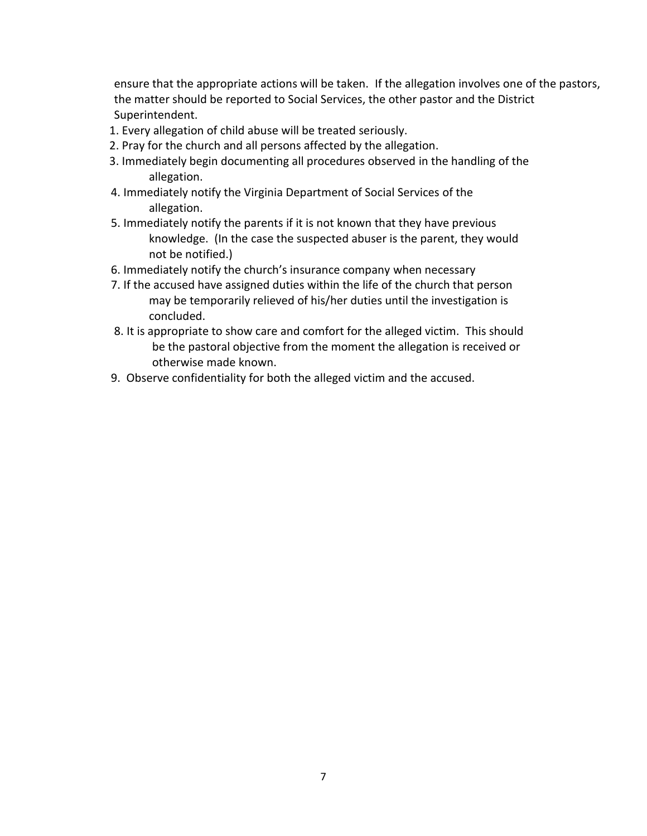ensure that the appropriate actions will be taken. If the allegation involves one of the pastors, the matter should be reported to Social Services, the other pastor and the District Superintendent.

- 1. Every allegation of child abuse will be treated seriously.
- 2. Pray for the church and all persons affected by the allegation.
- 3. Immediately begin documenting all procedures observed in the handling of the allegation.
- 4. Immediately notify the Virginia Department of Social Services of the allegation.
- 5. Immediately notify the parents if it is not known that they have previous knowledge. (In the case the suspected abuser is the parent, they would not be notified.)
- 6. Immediately notify the church's insurance company when necessary
- 7. If the accused have assigned duties within the life of the church that person may be temporarily relieved of his/her duties until the investigation is concluded.
- 8. It is appropriate to show care and comfort for the alleged victim. This should be the pastoral objective from the moment the allegation is received or otherwise made known.
- 9. Observe confidentiality for both the alleged victim and the accused.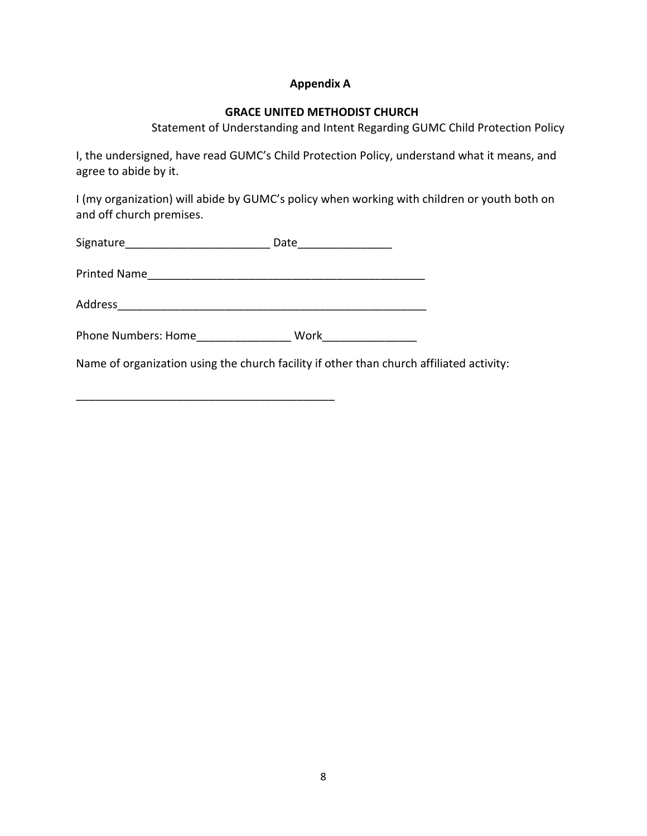# **Appendix A**

# **GRACE UNITED METHODIST CHURCH**

Statement of Understanding and Intent Regarding GUMC Child Protection Policy

I, the undersigned, have read GUMC's Child Protection Policy, understand what it means, and agree to abide by it.

I (my organization) will abide by GUMC's policy when working with children or youth both on and off church premises.

|                                                                                          | Date ____________       |  |
|------------------------------------------------------------------------------------------|-------------------------|--|
|                                                                                          |                         |  |
| Address                                                                                  |                         |  |
| Phone Numbers: Home                                                                      | <b>Work Marine Work</b> |  |
| Name of organization using the church facility if other than church affiliated activity: |                         |  |

\_\_\_\_\_\_\_\_\_\_\_\_\_\_\_\_\_\_\_\_\_\_\_\_\_\_\_\_\_\_\_\_\_\_\_\_\_\_\_\_\_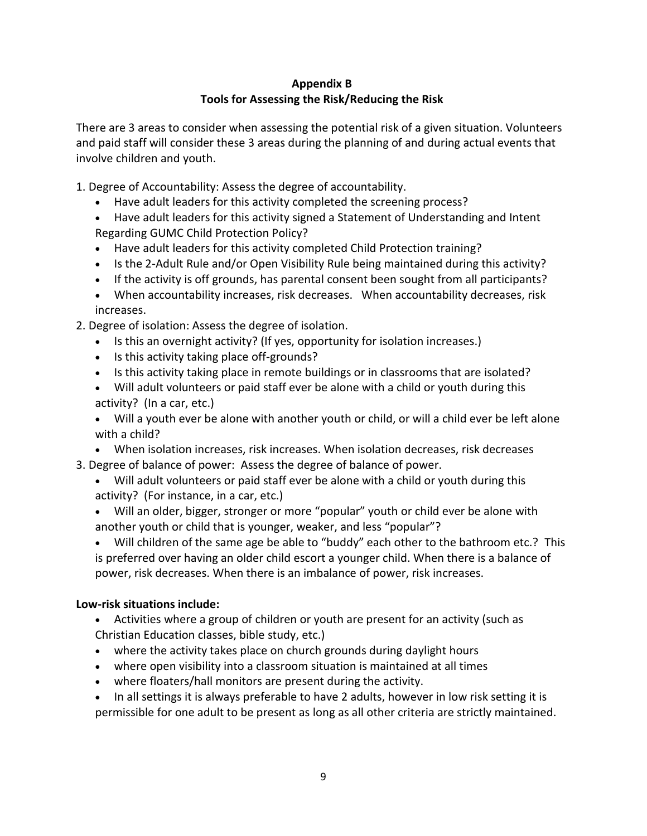# **Appendix B Tools for Assessing the Risk/Reducing the Risk**

There are 3 areas to consider when assessing the potential risk of a given situation. Volunteers and paid staff will consider these 3 areas during the planning of and during actual events that involve children and youth.

1. Degree of Accountability: Assess the degree of accountability.

- Have adult leaders for this activity completed the screening process?
- Have adult leaders for this activity signed a Statement of Understanding and Intent Regarding GUMC Child Protection Policy?
- Have adult leaders for this activity completed Child Protection training?
- Is the 2-Adult Rule and/or Open Visibility Rule being maintained during this activity?
- If the activity is off grounds, has parental consent been sought from all participants?
- When accountability increases, risk decreases. When accountability decreases, risk increases.
- 2. Degree of isolation: Assess the degree of isolation.
	- Is this an overnight activity? (If yes, opportunity for isolation increases.)
	- Is this activity taking place off-grounds?
	- Is this activity taking place in remote buildings or in classrooms that are isolated?
	- Will adult volunteers or paid staff ever be alone with a child or youth during this activity? (In a car, etc.)
	- Will a youth ever be alone with another youth or child, or will a child ever be left alone with a child?
- When isolation increases, risk increases. When isolation decreases, risk decreases 3. Degree of balance of power: Assess the degree of balance of power.
	- Will adult volunteers or paid staff ever be alone with a child or youth during this activity? (For instance, in a car, etc.)
	- Will an older, bigger, stronger or more "popular" youth or child ever be alone with another youth or child that is younger, weaker, and less "popular"?

• Will children of the same age be able to "buddy" each other to the bathroom etc.? This is preferred over having an older child escort a younger child. When there is a balance of power, risk decreases. When there is an imbalance of power, risk increases.

# **Low-risk situations include:**

- Activities where a group of children or youth are present for an activity (such as Christian Education classes, bible study, etc.)
- where the activity takes place on church grounds during daylight hours
- where open visibility into a classroom situation is maintained at all times
- where floaters/hall monitors are present during the activity.
- In all settings it is always preferable to have 2 adults, however in low risk setting it is permissible for one adult to be present as long as all other criteria are strictly maintained.